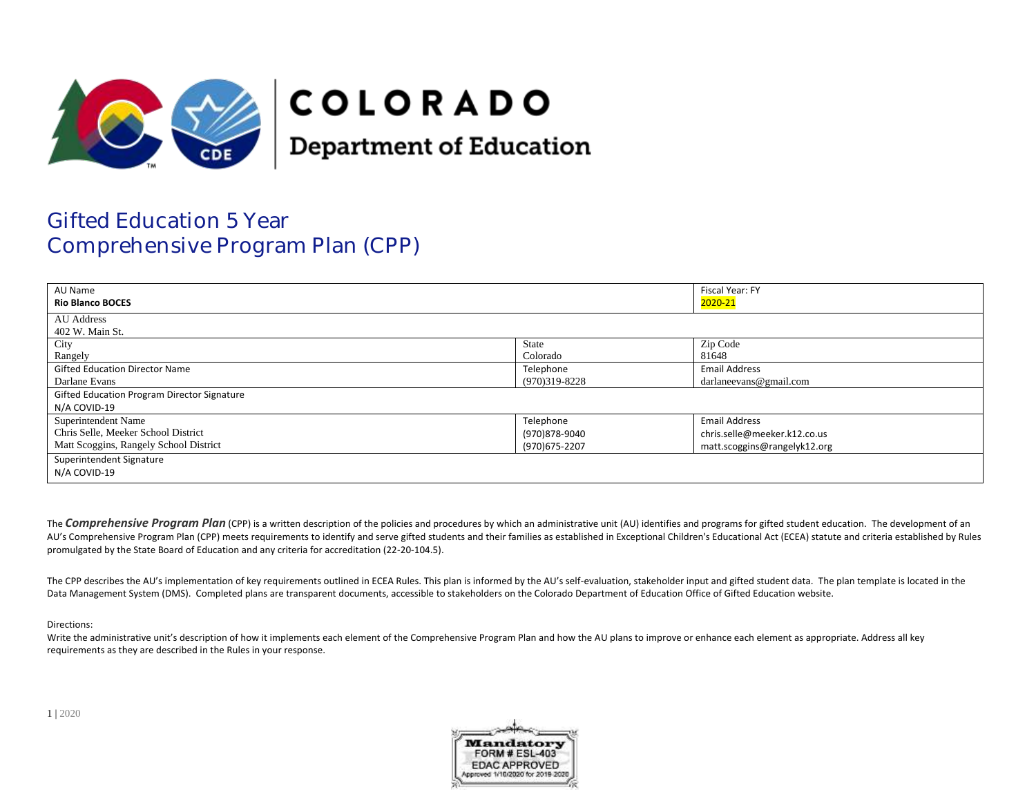

# **COLORADO**

**Department of Education** 

## Gifted Education 5 Year Comprehensive Program Plan (CPP)

| AU Name<br><b>Rio Blanco BOCES</b>                                                                   |                                              | Fiscal Year: FY<br>2020-21                                                           |
|------------------------------------------------------------------------------------------------------|----------------------------------------------|--------------------------------------------------------------------------------------|
| <b>AU</b> Address<br>402 W. Main St.                                                                 |                                              |                                                                                      |
| City<br>Rangely                                                                                      | State<br>Colorado                            | Zip Code<br>81648                                                                    |
| <b>Gifted Education Director Name</b><br>Darlane Evans                                               | Telephone<br>$(970)319-8228$                 | <b>Email Address</b><br>darlaneevans@gmail.com                                       |
| Gifted Education Program Director Signature<br>N/A COVID-19                                          |                                              |                                                                                      |
| Superintendent Name<br>Chris Selle, Meeker School District<br>Matt Scoggins, Rangely School District | Telephone<br>(970)878-9040<br>(970) 675-2207 | <b>Email Address</b><br>chris.selle@meeker.k12.co.us<br>matt.scoggins@rangelyk12.org |
| Superintendent Signature<br>N/A COVID-19                                                             |                                              |                                                                                      |

The **Comprehensive Program Plan** (CPP) is a written description of the policies and procedures by which an administrative unit (AU) identifies and programs for gifted student education. The development of an AU's Comprehensive Program Plan (CPP) meets requirements to identify and serve gifted students and their families as established in Exceptional Children's Educational Act (ECEA) statute and criteria established by Rules promulgated by the State Board of Education and any criteria for accreditation (22-20-104.5).

The CPP describes the AU's implementation of key requirements outlined in ECEA Rules. This plan is informed by the AU's self-evaluation, stakeholder input and gifted student data. The plan template is located in the Data Management System (DMS). Completed plans are transparent documents, accessible to stakeholders on the Colorado Department of Education Office of Gifted Education website.

#### Directions:

Write the administrative unit's description of how it implements each element of the Comprehensive Program Plan and how the AU plans to improve or enhance each element as appropriate. Address all key requirements as they are described in the Rules in your response.

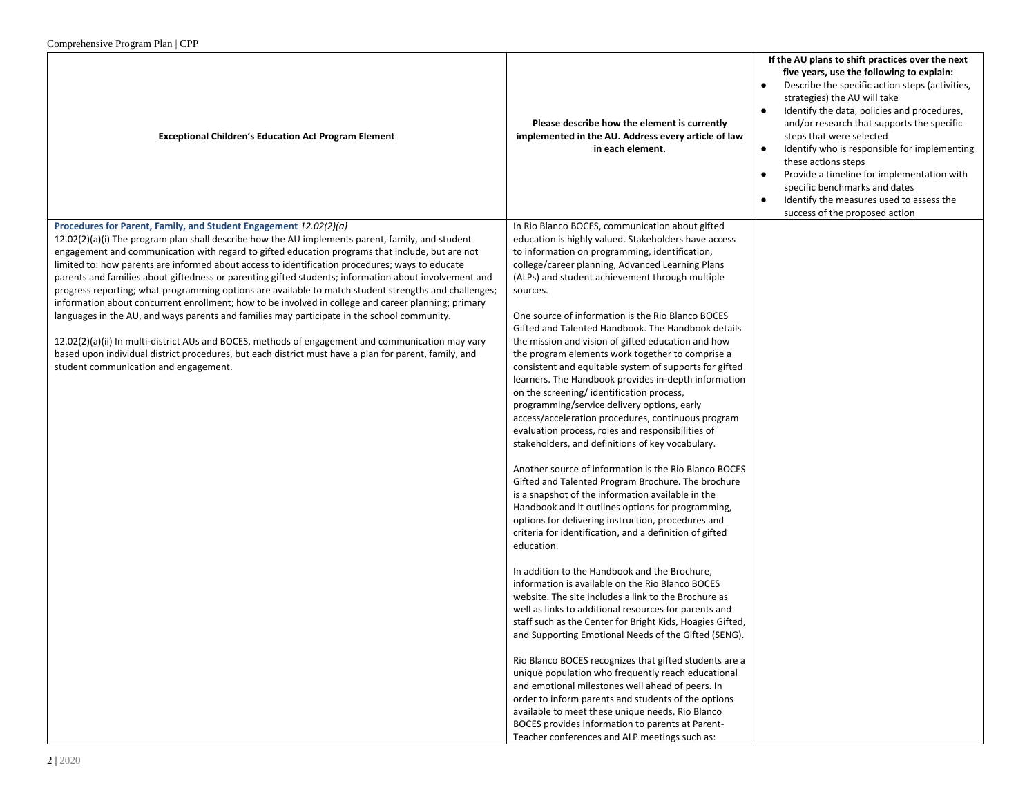| Comprenensive Program Pian   CPP                                                                                                                                                                               |                                                                                                                         |                                                                                                                                                                                                                                                                                                                                                                                                                                                                                                                                                                                      |
|----------------------------------------------------------------------------------------------------------------------------------------------------------------------------------------------------------------|-------------------------------------------------------------------------------------------------------------------------|--------------------------------------------------------------------------------------------------------------------------------------------------------------------------------------------------------------------------------------------------------------------------------------------------------------------------------------------------------------------------------------------------------------------------------------------------------------------------------------------------------------------------------------------------------------------------------------|
| <b>Exceptional Children's Education Act Program Element</b>                                                                                                                                                    | Please describe how the element is currently<br>implemented in the AU. Address every article of law<br>in each element. | If the AU plans to shift practices over the next<br>five years, use the following to explain:<br>Describe the specific action steps (activities,<br>$\bullet$<br>strategies) the AU will take<br>Identify the data, policies and procedures,<br>$\bullet$<br>and/or research that supports the specific<br>steps that were selected<br>Identify who is responsible for implementing<br>$\bullet$<br>these actions steps<br>Provide a timeline for implementation with<br>specific benchmarks and dates<br>Identify the measures used to assess the<br>success of the proposed action |
| Procedures for Parent, Family, and Student Engagement 12.02(2)(a)<br>$12.02(2)(a)(i)$ The program plan shall describe how the AU implements parent, family, and student                                        | In Rio Blanco BOCES, communication about gifted<br>education is highly valued. Stakeholders have access                 |                                                                                                                                                                                                                                                                                                                                                                                                                                                                                                                                                                                      |
| engagement and communication with regard to gifted education programs that include, but are not                                                                                                                | to information on programming, identification,                                                                          |                                                                                                                                                                                                                                                                                                                                                                                                                                                                                                                                                                                      |
| limited to: how parents are informed about access to identification procedures; ways to educate                                                                                                                | college/career planning, Advanced Learning Plans                                                                        |                                                                                                                                                                                                                                                                                                                                                                                                                                                                                                                                                                                      |
| parents and families about giftedness or parenting gifted students; information about involvement and<br>progress reporting; what programming options are available to match student strengths and challenges; | (ALPs) and student achievement through multiple<br>sources.                                                             |                                                                                                                                                                                                                                                                                                                                                                                                                                                                                                                                                                                      |
| information about concurrent enrollment; how to be involved in college and career planning; primary                                                                                                            |                                                                                                                         |                                                                                                                                                                                                                                                                                                                                                                                                                                                                                                                                                                                      |
| languages in the AU, and ways parents and families may participate in the school community.                                                                                                                    | One source of information is the Rio Blanco BOCES                                                                       |                                                                                                                                                                                                                                                                                                                                                                                                                                                                                                                                                                                      |
| 12.02(2)(a)(ii) In multi-district AUs and BOCES, methods of engagement and communication may vary                                                                                                              | Gifted and Talented Handbook. The Handbook details<br>the mission and vision of gifted education and how                |                                                                                                                                                                                                                                                                                                                                                                                                                                                                                                                                                                                      |
| based upon individual district procedures, but each district must have a plan for parent, family, and                                                                                                          | the program elements work together to comprise a                                                                        |                                                                                                                                                                                                                                                                                                                                                                                                                                                                                                                                                                                      |
| student communication and engagement.                                                                                                                                                                          | consistent and equitable system of supports for gifted                                                                  |                                                                                                                                                                                                                                                                                                                                                                                                                                                                                                                                                                                      |
|                                                                                                                                                                                                                | learners. The Handbook provides in-depth information<br>on the screening/identification process,                        |                                                                                                                                                                                                                                                                                                                                                                                                                                                                                                                                                                                      |
|                                                                                                                                                                                                                | programming/service delivery options, early                                                                             |                                                                                                                                                                                                                                                                                                                                                                                                                                                                                                                                                                                      |
|                                                                                                                                                                                                                | access/acceleration procedures, continuous program                                                                      |                                                                                                                                                                                                                                                                                                                                                                                                                                                                                                                                                                                      |
|                                                                                                                                                                                                                | evaluation process, roles and responsibilities of<br>stakeholders, and definitions of key vocabulary.                   |                                                                                                                                                                                                                                                                                                                                                                                                                                                                                                                                                                                      |
|                                                                                                                                                                                                                |                                                                                                                         |                                                                                                                                                                                                                                                                                                                                                                                                                                                                                                                                                                                      |
|                                                                                                                                                                                                                | Another source of information is the Rio Blanco BOCES                                                                   |                                                                                                                                                                                                                                                                                                                                                                                                                                                                                                                                                                                      |
|                                                                                                                                                                                                                | Gifted and Talented Program Brochure. The brochure<br>is a snapshot of the information available in the                 |                                                                                                                                                                                                                                                                                                                                                                                                                                                                                                                                                                                      |
|                                                                                                                                                                                                                | Handbook and it outlines options for programming,                                                                       |                                                                                                                                                                                                                                                                                                                                                                                                                                                                                                                                                                                      |
|                                                                                                                                                                                                                | options for delivering instruction, procedures and                                                                      |                                                                                                                                                                                                                                                                                                                                                                                                                                                                                                                                                                                      |
|                                                                                                                                                                                                                | criteria for identification, and a definition of gifted<br>education.                                                   |                                                                                                                                                                                                                                                                                                                                                                                                                                                                                                                                                                                      |
|                                                                                                                                                                                                                |                                                                                                                         |                                                                                                                                                                                                                                                                                                                                                                                                                                                                                                                                                                                      |
|                                                                                                                                                                                                                | In addition to the Handbook and the Brochure,                                                                           |                                                                                                                                                                                                                                                                                                                                                                                                                                                                                                                                                                                      |
|                                                                                                                                                                                                                | information is available on the Rio Blanco BOCES<br>website. The site includes a link to the Brochure as                |                                                                                                                                                                                                                                                                                                                                                                                                                                                                                                                                                                                      |
|                                                                                                                                                                                                                | well as links to additional resources for parents and                                                                   |                                                                                                                                                                                                                                                                                                                                                                                                                                                                                                                                                                                      |
|                                                                                                                                                                                                                | staff such as the Center for Bright Kids, Hoagies Gifted,                                                               |                                                                                                                                                                                                                                                                                                                                                                                                                                                                                                                                                                                      |
|                                                                                                                                                                                                                | and Supporting Emotional Needs of the Gifted (SENG).                                                                    |                                                                                                                                                                                                                                                                                                                                                                                                                                                                                                                                                                                      |
|                                                                                                                                                                                                                | Rio Blanco BOCES recognizes that gifted students are a                                                                  |                                                                                                                                                                                                                                                                                                                                                                                                                                                                                                                                                                                      |
|                                                                                                                                                                                                                | unique population who frequently reach educational                                                                      |                                                                                                                                                                                                                                                                                                                                                                                                                                                                                                                                                                                      |
|                                                                                                                                                                                                                | and emotional milestones well ahead of peers. In<br>order to inform parents and students of the options                 |                                                                                                                                                                                                                                                                                                                                                                                                                                                                                                                                                                                      |
|                                                                                                                                                                                                                | available to meet these unique needs, Rio Blanco                                                                        |                                                                                                                                                                                                                                                                                                                                                                                                                                                                                                                                                                                      |
|                                                                                                                                                                                                                | BOCES provides information to parents at Parent-                                                                        |                                                                                                                                                                                                                                                                                                                                                                                                                                                                                                                                                                                      |
|                                                                                                                                                                                                                | Teacher conferences and ALP meetings such as:                                                                           |                                                                                                                                                                                                                                                                                                                                                                                                                                                                                                                                                                                      |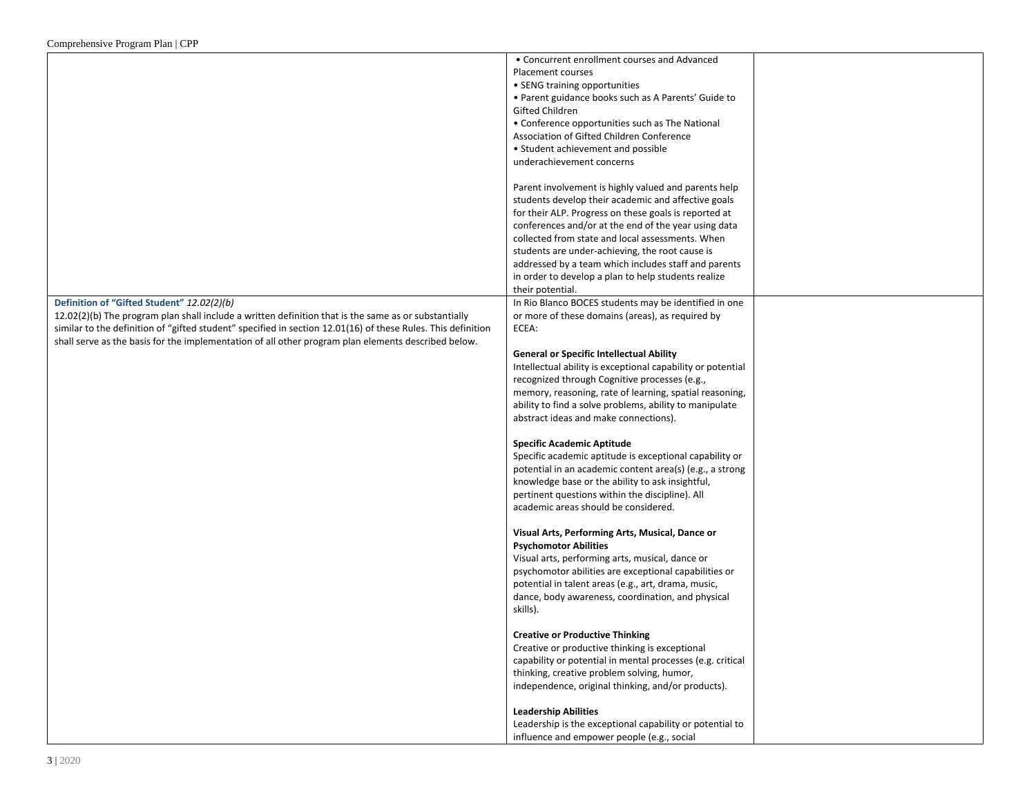|                                                                                                              | • Concurrent enrollment courses and Advanced                |  |
|--------------------------------------------------------------------------------------------------------------|-------------------------------------------------------------|--|
|                                                                                                              | Placement courses                                           |  |
|                                                                                                              | • SENG training opportunities                               |  |
|                                                                                                              | • Parent guidance books such as A Parents' Guide to         |  |
|                                                                                                              | Gifted Children                                             |  |
|                                                                                                              | • Conference opportunities such as The National             |  |
|                                                                                                              | Association of Gifted Children Conference                   |  |
|                                                                                                              | • Student achievement and possible                          |  |
|                                                                                                              | underachievement concerns                                   |  |
|                                                                                                              |                                                             |  |
|                                                                                                              | Parent involvement is highly valued and parents help        |  |
|                                                                                                              | students develop their academic and affective goals         |  |
|                                                                                                              | for their ALP. Progress on these goals is reported at       |  |
|                                                                                                              | conferences and/or at the end of the year using data        |  |
|                                                                                                              | collected from state and local assessments. When            |  |
|                                                                                                              | students are under-achieving, the root cause is             |  |
|                                                                                                              | addressed by a team which includes staff and parents        |  |
|                                                                                                              | in order to develop a plan to help students realize         |  |
|                                                                                                              | their potential.                                            |  |
| Definition of "Gifted Student" 12.02(2)(b)                                                                   | In Rio Blanco BOCES students may be identified in one       |  |
| $12.02(2)(b)$ The program plan shall include a written definition that is the same as or substantially       | or more of these domains (areas), as required by            |  |
| similar to the definition of "gifted student" specified in section 12.01(16) of these Rules. This definition |                                                             |  |
|                                                                                                              | ECEA:                                                       |  |
| shall serve as the basis for the implementation of all other program plan elements described below.          |                                                             |  |
|                                                                                                              | <b>General or Specific Intellectual Ability</b>             |  |
|                                                                                                              | Intellectual ability is exceptional capability or potential |  |
|                                                                                                              | recognized through Cognitive processes (e.g.,               |  |
|                                                                                                              | memory, reasoning, rate of learning, spatial reasoning,     |  |
|                                                                                                              | ability to find a solve problems, ability to manipulate     |  |
|                                                                                                              | abstract ideas and make connections).                       |  |
|                                                                                                              |                                                             |  |
|                                                                                                              | <b>Specific Academic Aptitude</b>                           |  |
|                                                                                                              | Specific academic aptitude is exceptional capability or     |  |
|                                                                                                              | potential in an academic content area(s) (e.g., a strong    |  |
|                                                                                                              | knowledge base or the ability to ask insightful,            |  |
|                                                                                                              | pertinent questions within the discipline). All             |  |
|                                                                                                              | academic areas should be considered.                        |  |
|                                                                                                              |                                                             |  |
|                                                                                                              | Visual Arts, Performing Arts, Musical, Dance or             |  |
|                                                                                                              | <b>Psychomotor Abilities</b>                                |  |
|                                                                                                              | Visual arts, performing arts, musical, dance or             |  |
|                                                                                                              | psychomotor abilities are exceptional capabilities or       |  |
|                                                                                                              | potential in talent areas (e.g., art, drama, music,         |  |
|                                                                                                              | dance, body awareness, coordination, and physical           |  |
|                                                                                                              | skills).                                                    |  |
|                                                                                                              |                                                             |  |
|                                                                                                              | <b>Creative or Productive Thinking</b>                      |  |
|                                                                                                              | Creative or productive thinking is exceptional              |  |
|                                                                                                              | capability or potential in mental processes (e.g. critical  |  |
|                                                                                                              | thinking, creative problem solving, humor,                  |  |
|                                                                                                              | independence, original thinking, and/or products).          |  |
|                                                                                                              |                                                             |  |
|                                                                                                              | <b>Leadership Abilities</b>                                 |  |
|                                                                                                              | Leadership is the exceptional capability or potential to    |  |
|                                                                                                              | influence and empower people (e.g., social                  |  |
|                                                                                                              |                                                             |  |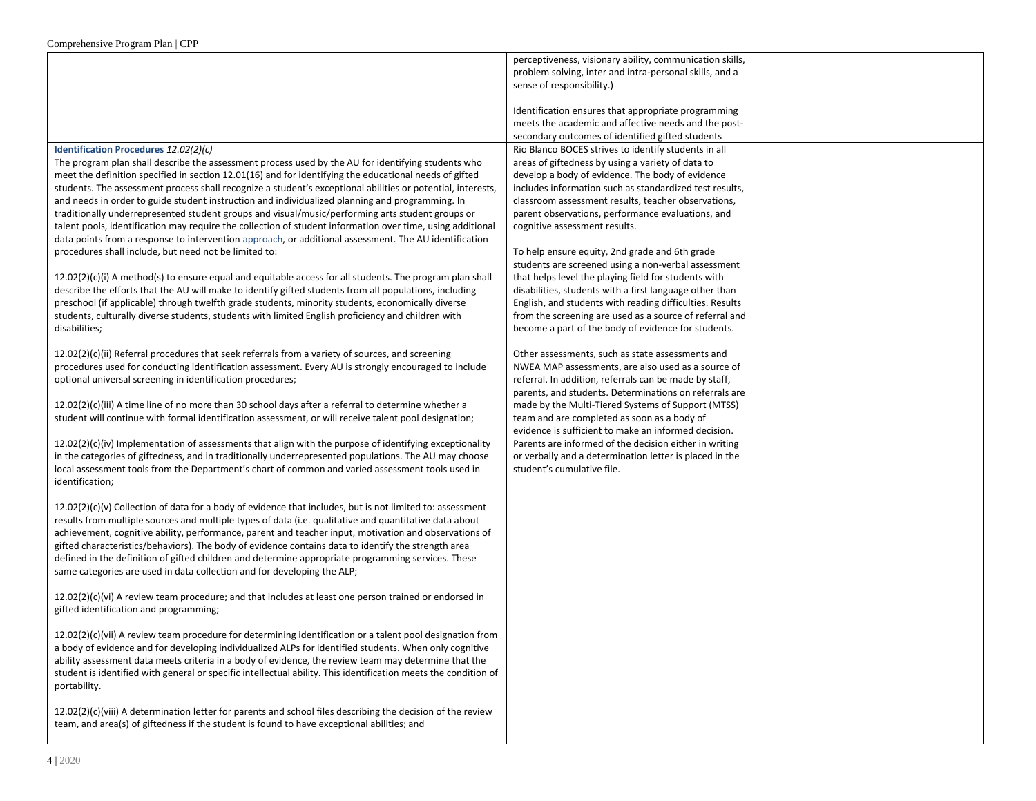|                                                                                                                                                                                                                                                                                                                                                                                                                                                                                                                                                                                                                                                                                                                                                                                                                                                                                                                                                                                                                                                                                                                                                                                                                                                                                                                                                                                                                                                                                                                                                                                                                                                                                                                                                                                                                                                                                                                                                                                                                                                                                                                                                                                                                                                                                                                                                                                                                                                                                                                                                                                                                                                                                                                                                                                                                                                                                                                                                                                                                                                                                                                                                                                                                                                                                                                                                                                                                                                                                                                           | perceptiveness, visionary ability, communication skills,<br>problem solving, inter and intra-personal skills, and a<br>sense of responsibility.)                                                                                                                                                                                                                                                                                                                                                                                                                                                                                                                                                                                                                                                                                                                                                                                                                                                                                                                                                                                                                                                                                                                                                                              |  |
|---------------------------------------------------------------------------------------------------------------------------------------------------------------------------------------------------------------------------------------------------------------------------------------------------------------------------------------------------------------------------------------------------------------------------------------------------------------------------------------------------------------------------------------------------------------------------------------------------------------------------------------------------------------------------------------------------------------------------------------------------------------------------------------------------------------------------------------------------------------------------------------------------------------------------------------------------------------------------------------------------------------------------------------------------------------------------------------------------------------------------------------------------------------------------------------------------------------------------------------------------------------------------------------------------------------------------------------------------------------------------------------------------------------------------------------------------------------------------------------------------------------------------------------------------------------------------------------------------------------------------------------------------------------------------------------------------------------------------------------------------------------------------------------------------------------------------------------------------------------------------------------------------------------------------------------------------------------------------------------------------------------------------------------------------------------------------------------------------------------------------------------------------------------------------------------------------------------------------------------------------------------------------------------------------------------------------------------------------------------------------------------------------------------------------------------------------------------------------------------------------------------------------------------------------------------------------------------------------------------------------------------------------------------------------------------------------------------------------------------------------------------------------------------------------------------------------------------------------------------------------------------------------------------------------------------------------------------------------------------------------------------------------------------------------------------------------------------------------------------------------------------------------------------------------------------------------------------------------------------------------------------------------------------------------------------------------------------------------------------------------------------------------------------------------------------------------------------------------------------------------------------------------|-------------------------------------------------------------------------------------------------------------------------------------------------------------------------------------------------------------------------------------------------------------------------------------------------------------------------------------------------------------------------------------------------------------------------------------------------------------------------------------------------------------------------------------------------------------------------------------------------------------------------------------------------------------------------------------------------------------------------------------------------------------------------------------------------------------------------------------------------------------------------------------------------------------------------------------------------------------------------------------------------------------------------------------------------------------------------------------------------------------------------------------------------------------------------------------------------------------------------------------------------------------------------------------------------------------------------------|--|
|                                                                                                                                                                                                                                                                                                                                                                                                                                                                                                                                                                                                                                                                                                                                                                                                                                                                                                                                                                                                                                                                                                                                                                                                                                                                                                                                                                                                                                                                                                                                                                                                                                                                                                                                                                                                                                                                                                                                                                                                                                                                                                                                                                                                                                                                                                                                                                                                                                                                                                                                                                                                                                                                                                                                                                                                                                                                                                                                                                                                                                                                                                                                                                                                                                                                                                                                                                                                                                                                                                                           | Identification ensures that appropriate programming<br>meets the academic and affective needs and the post-<br>secondary outcomes of identified gifted students                                                                                                                                                                                                                                                                                                                                                                                                                                                                                                                                                                                                                                                                                                                                                                                                                                                                                                                                                                                                                                                                                                                                                               |  |
| Identification Procedures 12.02(2)(c)<br>The program plan shall describe the assessment process used by the AU for identifying students who<br>meet the definition specified in section 12.01(16) and for identifying the educational needs of gifted<br>students. The assessment process shall recognize a student's exceptional abilities or potential, interests,<br>and needs in order to guide student instruction and individualized planning and programming. In<br>traditionally underrepresented student groups and visual/music/performing arts student groups or<br>talent pools, identification may require the collection of student information over time, using additional<br>data points from a response to intervention approach, or additional assessment. The AU identification<br>procedures shall include, but need not be limited to:<br>$12.02(2)(c)(i)$ A method(s) to ensure equal and equitable access for all students. The program plan shall<br>describe the efforts that the AU will make to identify gifted students from all populations, including<br>preschool (if applicable) through twelfth grade students, minority students, economically diverse<br>students, culturally diverse students, students with limited English proficiency and children with<br>disabilities;<br>12.02(2)(c)(ii) Referral procedures that seek referrals from a variety of sources, and screening<br>procedures used for conducting identification assessment. Every AU is strongly encouraged to include<br>optional universal screening in identification procedures;<br>12.02(2)(c)(iii) A time line of no more than 30 school days after a referral to determine whether a<br>student will continue with formal identification assessment, or will receive talent pool designation;<br>$12.02(2)(c)(iv)$ Implementation of assessments that align with the purpose of identifying exceptionality<br>in the categories of giftedness, and in traditionally underrepresented populations. The AU may choose<br>local assessment tools from the Department's chart of common and varied assessment tools used in<br>identification;<br>$12.02(2)(c)(v)$ Collection of data for a body of evidence that includes, but is not limited to: assessment<br>results from multiple sources and multiple types of data (i.e. qualitative and quantitative data about<br>achievement, cognitive ability, performance, parent and teacher input, motivation and observations of<br>gifted characteristics/behaviors). The body of evidence contains data to identify the strength area<br>defined in the definition of gifted children and determine appropriate programming services. These<br>same categories are used in data collection and for developing the ALP;<br>$12.02(2)(c)(vi)$ A review team procedure; and that includes at least one person trained or endorsed in<br>gifted identification and programming;<br>$12.02(2)(c)(vi)$ A review team procedure for determining identification or a talent pool designation from<br>a body of evidence and for developing individualized ALPs for identified students. When only cognitive<br>ability assessment data meets criteria in a body of evidence, the review team may determine that the<br>student is identified with general or specific intellectual ability. This identification meets the condition of<br>portability.<br>$12.02(2)(c)(viii)$ A determination letter for parents and school files describing the decision of the review | Rio Blanco BOCES strives to identify students in all<br>areas of giftedness by using a variety of data to<br>develop a body of evidence. The body of evidence<br>includes information such as standardized test results,<br>classroom assessment results, teacher observations,<br>parent observations, performance evaluations, and<br>cognitive assessment results.<br>To help ensure equity, 2nd grade and 6th grade<br>students are screened using a non-verbal assessment<br>that helps level the playing field for students with<br>disabilities, students with a first language other than<br>English, and students with reading difficulties. Results<br>from the screening are used as a source of referral and<br>become a part of the body of evidence for students.<br>Other assessments, such as state assessments and<br>NWEA MAP assessments, are also used as a source of<br>referral. In addition, referrals can be made by staff,<br>parents, and students. Determinations on referrals are<br>made by the Multi-Tiered Systems of Support (MTSS)<br>team and are completed as soon as a body of<br>evidence is sufficient to make an informed decision.<br>Parents are informed of the decision either in writing<br>or verbally and a determination letter is placed in the<br>student's cumulative file. |  |
| team, and area(s) of giftedness if the student is found to have exceptional abilities; and                                                                                                                                                                                                                                                                                                                                                                                                                                                                                                                                                                                                                                                                                                                                                                                                                                                                                                                                                                                                                                                                                                                                                                                                                                                                                                                                                                                                                                                                                                                                                                                                                                                                                                                                                                                                                                                                                                                                                                                                                                                                                                                                                                                                                                                                                                                                                                                                                                                                                                                                                                                                                                                                                                                                                                                                                                                                                                                                                                                                                                                                                                                                                                                                                                                                                                                                                                                                                                |                                                                                                                                                                                                                                                                                                                                                                                                                                                                                                                                                                                                                                                                                                                                                                                                                                                                                                                                                                                                                                                                                                                                                                                                                                                                                                                               |  |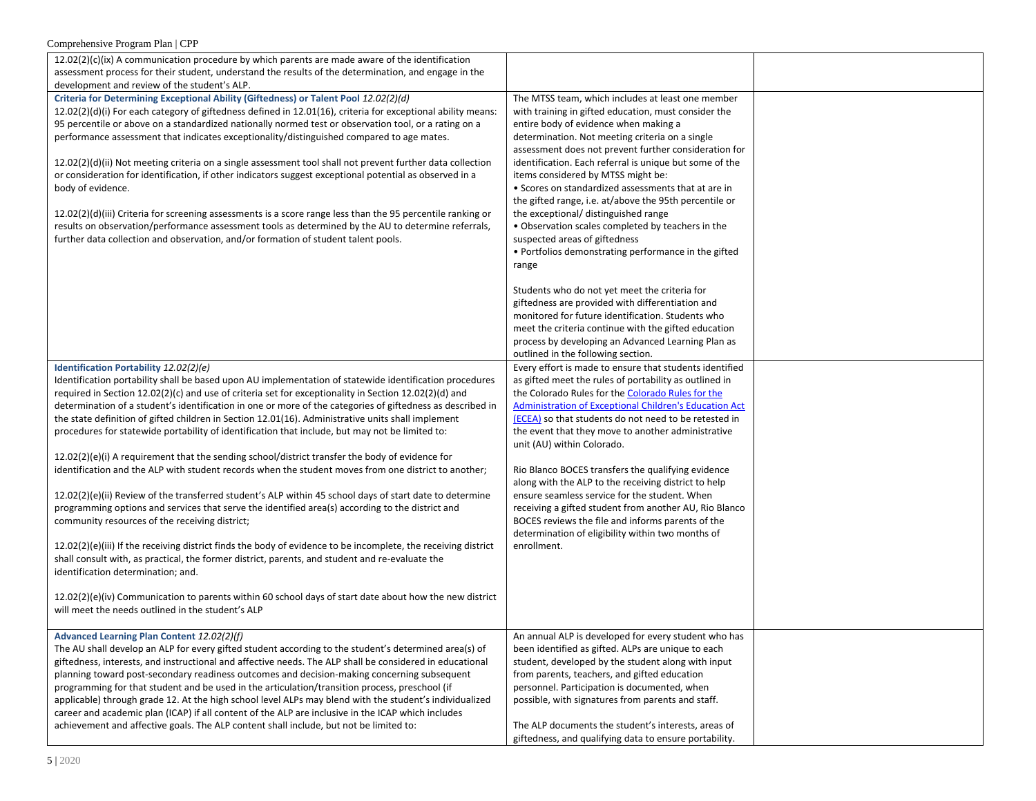| Comprehensive Program Plan   CPP                                                                                                                                                                          |                                                                                                                   |  |
|-----------------------------------------------------------------------------------------------------------------------------------------------------------------------------------------------------------|-------------------------------------------------------------------------------------------------------------------|--|
| $12.02(2)(c)(ix)$ A communication procedure by which parents are made aware of the identification                                                                                                         |                                                                                                                   |  |
| assessment process for their student, understand the results of the determination, and engage in the                                                                                                      |                                                                                                                   |  |
| development and review of the student's ALP.                                                                                                                                                              |                                                                                                                   |  |
| Criteria for Determining Exceptional Ability (Giftedness) or Talent Pool 12.02(2)(d)                                                                                                                      | The MTSS team, which includes at least one member                                                                 |  |
| $12.02(2)(d)(i)$ For each category of giftedness defined in 12.01(16), criteria for exceptional ability means:                                                                                            | with training in gifted education, must consider the                                                              |  |
| 95 percentile or above on a standardized nationally normed test or observation tool, or a rating on a                                                                                                     | entire body of evidence when making a                                                                             |  |
| performance assessment that indicates exceptionality/distinguished compared to age mates.                                                                                                                 | determination. Not meeting criteria on a single<br>assessment does not prevent further consideration for          |  |
| $12.02(2)(d)(ii)$ Not meeting criteria on a single assessment tool shall not prevent further data collection                                                                                              | identification. Each referral is unique but some of the                                                           |  |
| or consideration for identification, if other indicators suggest exceptional potential as observed in a                                                                                                   | items considered by MTSS might be:                                                                                |  |
| body of evidence.                                                                                                                                                                                         | • Scores on standardized assessments that at are in                                                               |  |
|                                                                                                                                                                                                           | the gifted range, i.e. at/above the 95th percentile or                                                            |  |
| 12.02(2)(d)(iii) Criteria for screening assessments is a score range less than the 95 percentile ranking or                                                                                               | the exceptional/ distinguished range                                                                              |  |
| results on observation/performance assessment tools as determined by the AU to determine referrals,                                                                                                       | . Observation scales completed by teachers in the                                                                 |  |
| further data collection and observation, and/or formation of student talent pools.                                                                                                                        | suspected areas of giftedness                                                                                     |  |
|                                                                                                                                                                                                           | • Portfolios demonstrating performance in the gifted                                                              |  |
|                                                                                                                                                                                                           | range                                                                                                             |  |
|                                                                                                                                                                                                           | Students who do not yet meet the criteria for                                                                     |  |
|                                                                                                                                                                                                           | giftedness are provided with differentiation and                                                                  |  |
|                                                                                                                                                                                                           | monitored for future identification. Students who                                                                 |  |
|                                                                                                                                                                                                           | meet the criteria continue with the gifted education                                                              |  |
|                                                                                                                                                                                                           | process by developing an Advanced Learning Plan as                                                                |  |
|                                                                                                                                                                                                           | outlined in the following section.                                                                                |  |
| Identification Portability 12.02(2)(e)<br>Identification portability shall be based upon AU implementation of statewide identification procedures                                                         | Every effort is made to ensure that students identified<br>as gifted meet the rules of portability as outlined in |  |
| required in Section 12.02(2)(c) and use of criteria set for exceptionality in Section 12.02(2)(d) and                                                                                                     | the Colorado Rules for the Colorado Rules for the                                                                 |  |
| determination of a student's identification in one or more of the categories of giftedness as described in                                                                                                | Administration of Exceptional Children's Education Act                                                            |  |
| the state definition of gifted children in Section 12.01(16). Administrative units shall implement                                                                                                        | (ECEA) so that students do not need to be retested in                                                             |  |
| procedures for statewide portability of identification that include, but may not be limited to:                                                                                                           | the event that they move to another administrative                                                                |  |
|                                                                                                                                                                                                           | unit (AU) within Colorado.                                                                                        |  |
| 12.02(2)(e)(i) A requirement that the sending school/district transfer the body of evidence for                                                                                                           |                                                                                                                   |  |
| identification and the ALP with student records when the student moves from one district to another;                                                                                                      | Rio Blanco BOCES transfers the qualifying evidence<br>along with the ALP to the receiving district to help        |  |
| 12.02(2)(e)(ii) Review of the transferred student's ALP within 45 school days of start date to determine                                                                                                  | ensure seamless service for the student. When                                                                     |  |
| programming options and services that serve the identified area(s) according to the district and                                                                                                          | receiving a gifted student from another AU, Rio Blanco                                                            |  |
| community resources of the receiving district;                                                                                                                                                            | BOCES reviews the file and informs parents of the                                                                 |  |
|                                                                                                                                                                                                           | determination of eligibility within two months of                                                                 |  |
| $12.02(2)(e)(iii)$ If the receiving district finds the body of evidence to be incomplete, the receiving district                                                                                          | enrollment.                                                                                                       |  |
| shall consult with, as practical, the former district, parents, and student and re-evaluate the                                                                                                           |                                                                                                                   |  |
| identification determination; and.                                                                                                                                                                        |                                                                                                                   |  |
| 12.02(2)(e)(iv) Communication to parents within 60 school days of start date about how the new district                                                                                                   |                                                                                                                   |  |
| will meet the needs outlined in the student's ALP                                                                                                                                                         |                                                                                                                   |  |
|                                                                                                                                                                                                           |                                                                                                                   |  |
| Advanced Learning Plan Content 12.02(2)(f)                                                                                                                                                                | An annual ALP is developed for every student who has                                                              |  |
| The AU shall develop an ALP for every gifted student according to the student's determined area(s) of                                                                                                     | been identified as gifted. ALPs are unique to each                                                                |  |
| giftedness, interests, and instructional and affective needs. The ALP shall be considered in educational                                                                                                  | student, developed by the student along with input                                                                |  |
| planning toward post-secondary readiness outcomes and decision-making concerning subsequent                                                                                                               | from parents, teachers, and gifted education                                                                      |  |
| programming for that student and be used in the articulation/transition process, preschool (if<br>applicable) through grade 12. At the high school level ALPs may blend with the student's individualized | personnel. Participation is documented, when                                                                      |  |
| career and academic plan (ICAP) if all content of the ALP are inclusive in the ICAP which includes                                                                                                        | possible, with signatures from parents and staff.                                                                 |  |
| achievement and affective goals. The ALP content shall include, but not be limited to:                                                                                                                    | The ALP documents the student's interests, areas of                                                               |  |
|                                                                                                                                                                                                           | giftedness, and qualifying data to ensure portability.                                                            |  |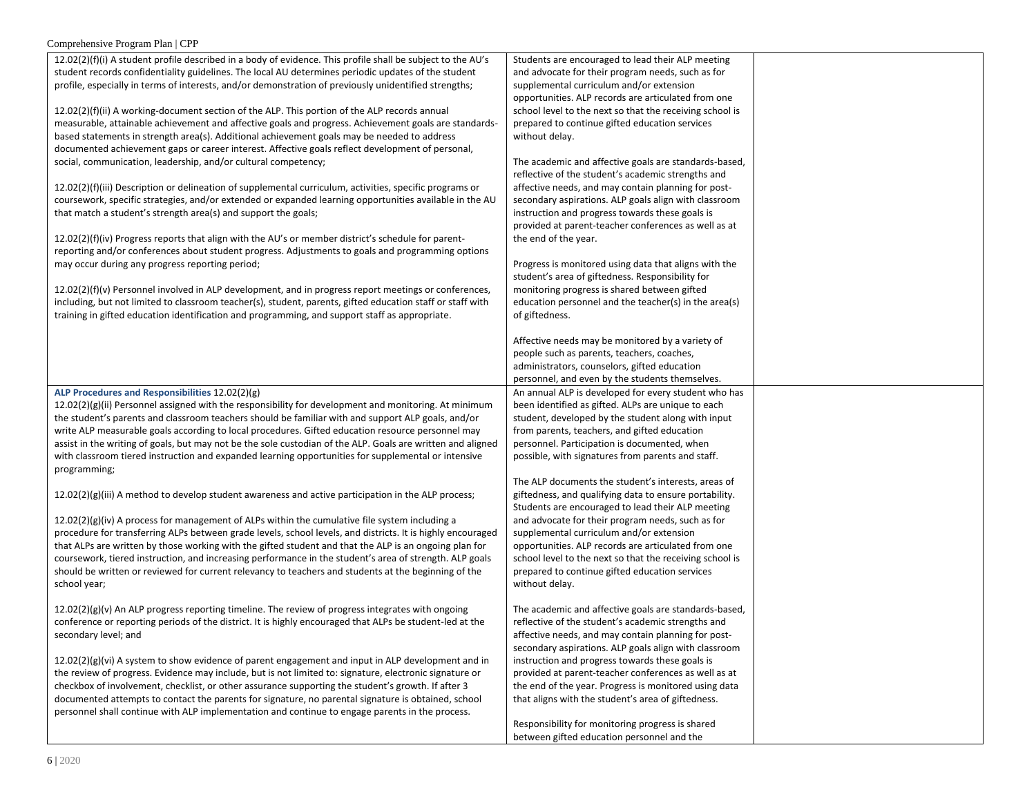| 12.02(2)(f)(i) A student profile described in a body of evidence. This profile shall be subject to the AU's                                                                                                     | Students are encouraged to lead their ALP meeting                                                            |  |
|-----------------------------------------------------------------------------------------------------------------------------------------------------------------------------------------------------------------|--------------------------------------------------------------------------------------------------------------|--|
| student records confidentiality guidelines. The local AU determines periodic updates of the student                                                                                                             | and advocate for their program needs, such as for                                                            |  |
| profile, especially in terms of interests, and/or demonstration of previously unidentified strengths;                                                                                                           | supplemental curriculum and/or extension                                                                     |  |
|                                                                                                                                                                                                                 | opportunities. ALP records are articulated from one                                                          |  |
| $12.02(2)(f)(ii)$ A working-document section of the ALP. This portion of the ALP records annual                                                                                                                 | school level to the next so that the receiving school is                                                     |  |
| measurable, attainable achievement and affective goals and progress. Achievement goals are standards-                                                                                                           | prepared to continue gifted education services                                                               |  |
| based statements in strength area(s). Additional achievement goals may be needed to address                                                                                                                     | without delay.                                                                                               |  |
| documented achievement gaps or career interest. Affective goals reflect development of personal,                                                                                                                |                                                                                                              |  |
| social, communication, leadership, and/or cultural competency;                                                                                                                                                  | The academic and affective goals are standards-based,                                                        |  |
|                                                                                                                                                                                                                 | reflective of the student's academic strengths and                                                           |  |
| 12.02(2)(f)(iii) Description or delineation of supplemental curriculum, activities, specific programs or                                                                                                        | affective needs, and may contain planning for post-                                                          |  |
| coursework, specific strategies, and/or extended or expanded learning opportunities available in the AU                                                                                                         | secondary aspirations. ALP goals align with classroom                                                        |  |
| that match a student's strength area(s) and support the goals;                                                                                                                                                  | instruction and progress towards these goals is                                                              |  |
|                                                                                                                                                                                                                 | provided at parent-teacher conferences as well as at                                                         |  |
| $12.02(2)(f)(iv)$ Progress reports that align with the AU's or member district's schedule for parent-                                                                                                           | the end of the year.                                                                                         |  |
| reporting and/or conferences about student progress. Adjustments to goals and programming options                                                                                                               |                                                                                                              |  |
| may occur during any progress reporting period;                                                                                                                                                                 | Progress is monitored using data that aligns with the                                                        |  |
|                                                                                                                                                                                                                 | student's area of giftedness. Responsibility for                                                             |  |
| $12.02(2)(f)(v)$ Personnel involved in ALP development, and in progress report meetings or conferences,                                                                                                         | monitoring progress is shared between gifted                                                                 |  |
| including, but not limited to classroom teacher(s), student, parents, gifted education staff or staff with                                                                                                      | education personnel and the teacher(s) in the area(s)                                                        |  |
| training in gifted education identification and programming, and support staff as appropriate.                                                                                                                  | of giftedness.                                                                                               |  |
|                                                                                                                                                                                                                 |                                                                                                              |  |
|                                                                                                                                                                                                                 | Affective needs may be monitored by a variety of                                                             |  |
|                                                                                                                                                                                                                 | people such as parents, teachers, coaches,                                                                   |  |
|                                                                                                                                                                                                                 | administrators, counselors, gifted education                                                                 |  |
|                                                                                                                                                                                                                 | personnel, and even by the students themselves.                                                              |  |
| ALP Procedures and Responsibilities 12.02(2)(g)                                                                                                                                                                 | An annual ALP is developed for every student who has                                                         |  |
| $12.02(2)(g)(ii)$ Personnel assigned with the responsibility for development and monitoring. At minimum                                                                                                         | been identified as gifted. ALPs are unique to each                                                           |  |
| the student's parents and classroom teachers should be familiar with and support ALP goals, and/or                                                                                                              | student, developed by the student along with input                                                           |  |
| write ALP measurable goals according to local procedures. Gifted education resource personnel may                                                                                                               | from parents, teachers, and gifted education                                                                 |  |
| assist in the writing of goals, but may not be the sole custodian of the ALP. Goals are written and aligned                                                                                                     | personnel. Participation is documented, when                                                                 |  |
| with classroom tiered instruction and expanded learning opportunities for supplemental or intensive                                                                                                             | possible, with signatures from parents and staff.                                                            |  |
| programming;                                                                                                                                                                                                    |                                                                                                              |  |
|                                                                                                                                                                                                                 | The ALP documents the student's interests, areas of                                                          |  |
| $12.02(2)(g)(iii)$ A method to develop student awareness and active participation in the ALP process;                                                                                                           | giftedness, and qualifying data to ensure portability.                                                       |  |
|                                                                                                                                                                                                                 | Students are encouraged to lead their ALP meeting                                                            |  |
| $12.02(2)(g)(iv)$ A process for management of ALPs within the cumulative file system including a                                                                                                                | and advocate for their program needs, such as for                                                            |  |
| procedure for transferring ALPs between grade levels, school levels, and districts. It is highly encouraged                                                                                                     | supplemental curriculum and/or extension                                                                     |  |
| that ALPs are written by those working with the gifted student and that the ALP is an ongoing plan for                                                                                                          | opportunities. ALP records are articulated from one                                                          |  |
| coursework, tiered instruction, and increasing performance in the student's area of strength. ALP goals                                                                                                         | school level to the next so that the receiving school is                                                     |  |
| should be written or reviewed for current relevancy to teachers and students at the beginning of the                                                                                                            | prepared to continue gifted education services                                                               |  |
| school year;                                                                                                                                                                                                    | without delay.                                                                                               |  |
|                                                                                                                                                                                                                 |                                                                                                              |  |
| $12.02(2)(g)(v)$ An ALP progress reporting timeline. The review of progress integrates with ongoing                                                                                                             | The academic and affective goals are standards-based,<br>reflective of the student's academic strengths and  |  |
| conference or reporting periods of the district. It is highly encouraged that ALPs be student-led at the                                                                                                        |                                                                                                              |  |
| secondary level; and                                                                                                                                                                                            | affective needs, and may contain planning for post-<br>secondary aspirations. ALP goals align with classroom |  |
|                                                                                                                                                                                                                 | instruction and progress towards these goals is                                                              |  |
| $12.02(2)(g)(vi)$ A system to show evidence of parent engagement and input in ALP development and in<br>the review of progress. Evidence may include, but is not limited to: signature, electronic signature or | provided at parent-teacher conferences as well as at                                                         |  |
| checkbox of involvement, checklist, or other assurance supporting the student's growth. If after 3                                                                                                              | the end of the year. Progress is monitored using data                                                        |  |
| documented attempts to contact the parents for signature, no parental signature is obtained, school                                                                                                             | that aligns with the student's area of giftedness.                                                           |  |
| personnel shall continue with ALP implementation and continue to engage parents in the process.                                                                                                                 |                                                                                                              |  |
|                                                                                                                                                                                                                 | Responsibility for monitoring progress is shared                                                             |  |
|                                                                                                                                                                                                                 | between gifted education personnel and the                                                                   |  |
|                                                                                                                                                                                                                 |                                                                                                              |  |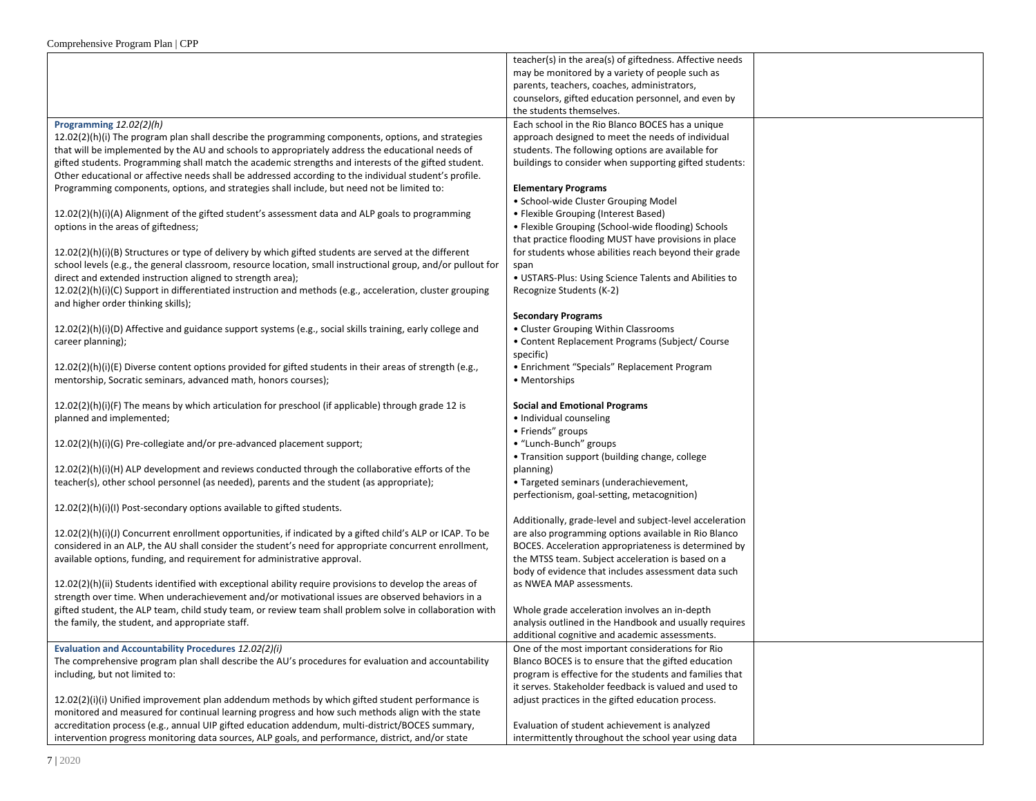|                                                                                                                                                                                                       | teacher(s) in the area(s) of giftedness. Affective needs                                              |  |
|-------------------------------------------------------------------------------------------------------------------------------------------------------------------------------------------------------|-------------------------------------------------------------------------------------------------------|--|
|                                                                                                                                                                                                       | may be monitored by a variety of people such as                                                       |  |
|                                                                                                                                                                                                       | parents, teachers, coaches, administrators,                                                           |  |
|                                                                                                                                                                                                       |                                                                                                       |  |
|                                                                                                                                                                                                       | counselors, gifted education personnel, and even by                                                   |  |
|                                                                                                                                                                                                       | the students themselves.                                                                              |  |
| Programming 12.02(2)(h)                                                                                                                                                                               | Each school in the Rio Blanco BOCES has a unique                                                      |  |
| $12.02(2)(h)(i)$ The program plan shall describe the programming components, options, and strategies                                                                                                  | approach designed to meet the needs of individual                                                     |  |
| that will be implemented by the AU and schools to appropriately address the educational needs of                                                                                                      | students. The following options are available for                                                     |  |
| gifted students. Programming shall match the academic strengths and interests of the gifted student.                                                                                                  |                                                                                                       |  |
|                                                                                                                                                                                                       | buildings to consider when supporting gifted students:                                                |  |
| Other educational or affective needs shall be addressed according to the individual student's profile.                                                                                                |                                                                                                       |  |
| Programming components, options, and strategies shall include, but need not be limited to:                                                                                                            | <b>Elementary Programs</b>                                                                            |  |
|                                                                                                                                                                                                       | • School-wide Cluster Grouping Model                                                                  |  |
| 12.02(2)(h)(i)(A) Alignment of the gifted student's assessment data and ALP goals to programming                                                                                                      | • Flexible Grouping (Interest Based)                                                                  |  |
| options in the areas of giftedness;                                                                                                                                                                   | • Flexible Grouping (School-wide flooding) Schools                                                    |  |
|                                                                                                                                                                                                       |                                                                                                       |  |
|                                                                                                                                                                                                       | that practice flooding MUST have provisions in place                                                  |  |
| 12.02(2)(h)(i)(B) Structures or type of delivery by which gifted students are served at the different                                                                                                 | for students whose abilities reach beyond their grade                                                 |  |
| school levels (e.g., the general classroom, resource location, small instructional group, and/or pullout for                                                                                          | span                                                                                                  |  |
| direct and extended instruction aligned to strength area);                                                                                                                                            | • USTARS-Plus: Using Science Talents and Abilities to                                                 |  |
|                                                                                                                                                                                                       |                                                                                                       |  |
| 12.02(2)(h)(i)(C) Support in differentiated instruction and methods (e.g., acceleration, cluster grouping                                                                                             | Recognize Students (K-2)                                                                              |  |
| and higher order thinking skills);                                                                                                                                                                    |                                                                                                       |  |
|                                                                                                                                                                                                       | <b>Secondary Programs</b>                                                                             |  |
| 12.02(2)(h)(i)(D) Affective and guidance support systems (e.g., social skills training, early college and                                                                                             | • Cluster Grouping Within Classrooms                                                                  |  |
| career planning);                                                                                                                                                                                     | • Content Replacement Programs (Subject/ Course                                                       |  |
|                                                                                                                                                                                                       |                                                                                                       |  |
|                                                                                                                                                                                                       | specific)                                                                                             |  |
| $12.02(2)(h)(i)(E)$ Diverse content options provided for gifted students in their areas of strength (e.g.,                                                                                            | • Enrichment "Specials" Replacement Program                                                           |  |
| mentorship, Socratic seminars, advanced math, honors courses);                                                                                                                                        | • Mentorships                                                                                         |  |
|                                                                                                                                                                                                       |                                                                                                       |  |
| $12.02(2)(h)(i)(F)$ The means by which articulation for preschool (if applicable) through grade 12 is                                                                                                 | <b>Social and Emotional Programs</b>                                                                  |  |
|                                                                                                                                                                                                       |                                                                                                       |  |
| planned and implemented;                                                                                                                                                                              | • Individual counseling                                                                               |  |
|                                                                                                                                                                                                       | · Friends" groups                                                                                     |  |
| 12.02(2)(h)(i)(G) Pre-collegiate and/or pre-advanced placement support;                                                                                                                               | • "Lunch-Bunch" groups                                                                                |  |
|                                                                                                                                                                                                       | • Transition support (building change, college                                                        |  |
| 12.02(2)(h)(i)(H) ALP development and reviews conducted through the collaborative efforts of the                                                                                                      | planning)                                                                                             |  |
|                                                                                                                                                                                                       |                                                                                                       |  |
| teacher(s), other school personnel (as needed), parents and the student (as appropriate);                                                                                                             | • Targeted seminars (underachievement,                                                                |  |
|                                                                                                                                                                                                       | perfectionism, goal-setting, metacognition)                                                           |  |
| 12.02(2)(h)(i)(l) Post-secondary options available to gifted students.                                                                                                                                |                                                                                                       |  |
|                                                                                                                                                                                                       | Additionally, grade-level and subject-level acceleration                                              |  |
|                                                                                                                                                                                                       | are also programming options available in Rio Blanco                                                  |  |
| $12.02(2)(h)(i)(J)$ Concurrent enrollment opportunities, if indicated by a gifted child's ALP or ICAP. To be                                                                                          |                                                                                                       |  |
| considered in an ALP, the AU shall consider the student's need for appropriate concurrent enrollment,                                                                                                 | BOCES. Acceleration appropriateness is determined by                                                  |  |
| available options, funding, and requirement for administrative approval.                                                                                                                              | the MTSS team. Subject acceleration is based on a                                                     |  |
|                                                                                                                                                                                                       | body of evidence that includes assessment data such                                                   |  |
| 12.02(2)(h)(ii) Students identified with exceptional ability require provisions to develop the areas of                                                                                               | as NWEA MAP assessments.                                                                              |  |
| strength over time. When underachievement and/or motivational issues are observed behaviors in a                                                                                                      |                                                                                                       |  |
|                                                                                                                                                                                                       |                                                                                                       |  |
| gifted student, the ALP team, child study team, or review team shall problem solve in collaboration with                                                                                              | Whole grade acceleration involves an in-depth                                                         |  |
| the family, the student, and appropriate staff.                                                                                                                                                       | analysis outlined in the Handbook and usually requires                                                |  |
|                                                                                                                                                                                                       | additional cognitive and academic assessments.                                                        |  |
| Evaluation and Accountability Procedures 12.02(2)(i)                                                                                                                                                  | One of the most important considerations for Rio                                                      |  |
|                                                                                                                                                                                                       |                                                                                                       |  |
|                                                                                                                                                                                                       |                                                                                                       |  |
| The comprehensive program plan shall describe the AU's procedures for evaluation and accountability                                                                                                   | Blanco BOCES is to ensure that the gifted education                                                   |  |
| including, but not limited to:                                                                                                                                                                        | program is effective for the students and families that                                               |  |
|                                                                                                                                                                                                       | it serves. Stakeholder feedback is valued and used to                                                 |  |
| $12.02(2)(i)(i)$ Unified improvement plan addendum methods by which gifted student performance is                                                                                                     | adjust practices in the gifted education process.                                                     |  |
|                                                                                                                                                                                                       |                                                                                                       |  |
| monitored and measured for continual learning progress and how such methods align with the state                                                                                                      |                                                                                                       |  |
| accreditation process (e.g., annual UIP gifted education addendum, multi-district/BOCES summary,<br>intervention progress monitoring data sources, ALP goals, and performance, district, and/or state | Evaluation of student achievement is analyzed<br>intermittently throughout the school year using data |  |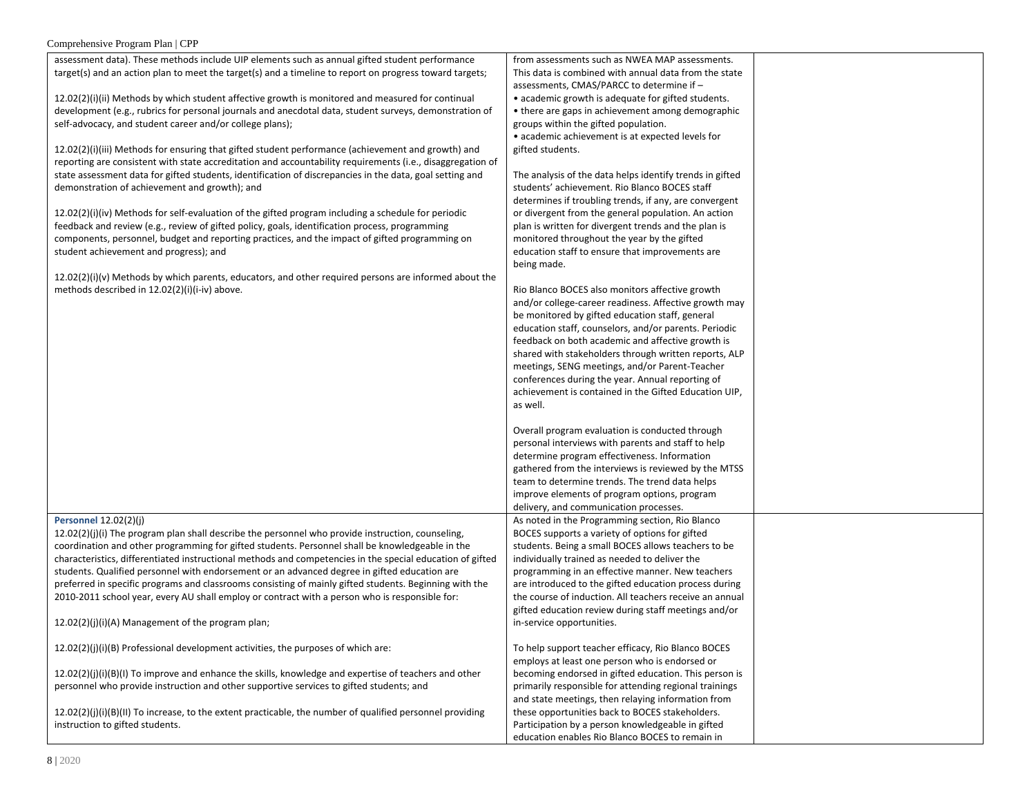#### Comprehensive Program Plan | CPP

| assessment data). These methods include UIP elements such as annual gifted student performance<br>from assessments such as NWEA MAP assessments.<br>target(s) and an action plan to meet the target(s) and a timeline to report on progress toward targets;<br>This data is combined with annual data from the state<br>assessments, CMAS/PARCC to determine if -<br>12.02(2)(i)(ii) Methods by which student affective growth is monitored and measured for continual<br>• academic growth is adequate for gifted students.<br>development (e.g., rubrics for personal journals and anecdotal data, student surveys, demonstration of<br>• there are gaps in achievement among demographic |  |
|---------------------------------------------------------------------------------------------------------------------------------------------------------------------------------------------------------------------------------------------------------------------------------------------------------------------------------------------------------------------------------------------------------------------------------------------------------------------------------------------------------------------------------------------------------------------------------------------------------------------------------------------------------------------------------------------|--|
|                                                                                                                                                                                                                                                                                                                                                                                                                                                                                                                                                                                                                                                                                             |  |
|                                                                                                                                                                                                                                                                                                                                                                                                                                                                                                                                                                                                                                                                                             |  |
|                                                                                                                                                                                                                                                                                                                                                                                                                                                                                                                                                                                                                                                                                             |  |
|                                                                                                                                                                                                                                                                                                                                                                                                                                                                                                                                                                                                                                                                                             |  |
|                                                                                                                                                                                                                                                                                                                                                                                                                                                                                                                                                                                                                                                                                             |  |
| self-advocacy, and student career and/or college plans);<br>groups within the gifted population.                                                                                                                                                                                                                                                                                                                                                                                                                                                                                                                                                                                            |  |
| • academic achievement is at expected levels for                                                                                                                                                                                                                                                                                                                                                                                                                                                                                                                                                                                                                                            |  |
| $12.02(2)(i)(iii)$ Methods for ensuring that gifted student performance (achievement and growth) and<br>gifted students.                                                                                                                                                                                                                                                                                                                                                                                                                                                                                                                                                                    |  |
|                                                                                                                                                                                                                                                                                                                                                                                                                                                                                                                                                                                                                                                                                             |  |
| reporting are consistent with state accreditation and accountability requirements (i.e., disaggregation of                                                                                                                                                                                                                                                                                                                                                                                                                                                                                                                                                                                  |  |
| state assessment data for gifted students, identification of discrepancies in the data, goal setting and<br>The analysis of the data helps identify trends in gifted                                                                                                                                                                                                                                                                                                                                                                                                                                                                                                                        |  |
| students' achievement. Rio Blanco BOCES staff<br>demonstration of achievement and growth); and                                                                                                                                                                                                                                                                                                                                                                                                                                                                                                                                                                                              |  |
| determines if troubling trends, if any, are convergent                                                                                                                                                                                                                                                                                                                                                                                                                                                                                                                                                                                                                                      |  |
| or divergent from the general population. An action<br>$12.02(2)(i)(iv)$ Methods for self-evaluation of the gifted program including a schedule for periodic                                                                                                                                                                                                                                                                                                                                                                                                                                                                                                                                |  |
| feedback and review (e.g., review of gifted policy, goals, identification process, programming<br>plan is written for divergent trends and the plan is                                                                                                                                                                                                                                                                                                                                                                                                                                                                                                                                      |  |
| components, personnel, budget and reporting practices, and the impact of gifted programming on<br>monitored throughout the year by the gifted                                                                                                                                                                                                                                                                                                                                                                                                                                                                                                                                               |  |
| student achievement and progress); and<br>education staff to ensure that improvements are                                                                                                                                                                                                                                                                                                                                                                                                                                                                                                                                                                                                   |  |
| being made.                                                                                                                                                                                                                                                                                                                                                                                                                                                                                                                                                                                                                                                                                 |  |
| $12.02(2)(i)(v)$ Methods by which parents, educators, and other required persons are informed about the                                                                                                                                                                                                                                                                                                                                                                                                                                                                                                                                                                                     |  |
| methods described in 12.02(2)(i)(i-iv) above.<br>Rio Blanco BOCES also monitors affective growth                                                                                                                                                                                                                                                                                                                                                                                                                                                                                                                                                                                            |  |
|                                                                                                                                                                                                                                                                                                                                                                                                                                                                                                                                                                                                                                                                                             |  |
| and/or college-career readiness. Affective growth may                                                                                                                                                                                                                                                                                                                                                                                                                                                                                                                                                                                                                                       |  |
| be monitored by gifted education staff, general                                                                                                                                                                                                                                                                                                                                                                                                                                                                                                                                                                                                                                             |  |
| education staff, counselors, and/or parents. Periodic                                                                                                                                                                                                                                                                                                                                                                                                                                                                                                                                                                                                                                       |  |
| feedback on both academic and affective growth is                                                                                                                                                                                                                                                                                                                                                                                                                                                                                                                                                                                                                                           |  |
| shared with stakeholders through written reports, ALP                                                                                                                                                                                                                                                                                                                                                                                                                                                                                                                                                                                                                                       |  |
| meetings, SENG meetings, and/or Parent-Teacher                                                                                                                                                                                                                                                                                                                                                                                                                                                                                                                                                                                                                                              |  |
| conferences during the year. Annual reporting of                                                                                                                                                                                                                                                                                                                                                                                                                                                                                                                                                                                                                                            |  |
| achievement is contained in the Gifted Education UIP,                                                                                                                                                                                                                                                                                                                                                                                                                                                                                                                                                                                                                                       |  |
| as well.                                                                                                                                                                                                                                                                                                                                                                                                                                                                                                                                                                                                                                                                                    |  |
|                                                                                                                                                                                                                                                                                                                                                                                                                                                                                                                                                                                                                                                                                             |  |
| Overall program evaluation is conducted through                                                                                                                                                                                                                                                                                                                                                                                                                                                                                                                                                                                                                                             |  |
| personal interviews with parents and staff to help                                                                                                                                                                                                                                                                                                                                                                                                                                                                                                                                                                                                                                          |  |
| determine program effectiveness. Information                                                                                                                                                                                                                                                                                                                                                                                                                                                                                                                                                                                                                                                |  |
|                                                                                                                                                                                                                                                                                                                                                                                                                                                                                                                                                                                                                                                                                             |  |
| gathered from the interviews is reviewed by the MTSS                                                                                                                                                                                                                                                                                                                                                                                                                                                                                                                                                                                                                                        |  |
| team to determine trends. The trend data helps                                                                                                                                                                                                                                                                                                                                                                                                                                                                                                                                                                                                                                              |  |
| improve elements of program options, program                                                                                                                                                                                                                                                                                                                                                                                                                                                                                                                                                                                                                                                |  |
| delivery, and communication processes.                                                                                                                                                                                                                                                                                                                                                                                                                                                                                                                                                                                                                                                      |  |
| <b>Personnel 12.02(2)(j)</b><br>As noted in the Programming section, Rio Blanco                                                                                                                                                                                                                                                                                                                                                                                                                                                                                                                                                                                                             |  |
| $12.02(2)(j)(i)$ The program plan shall describe the personnel who provide instruction, counseling,<br>BOCES supports a variety of options for gifted                                                                                                                                                                                                                                                                                                                                                                                                                                                                                                                                       |  |
| coordination and other programming for gifted students. Personnel shall be knowledgeable in the<br>students. Being a small BOCES allows teachers to be                                                                                                                                                                                                                                                                                                                                                                                                                                                                                                                                      |  |
| characteristics, differentiated instructional methods and competencies in the special education of gifted<br>individually trained as needed to deliver the                                                                                                                                                                                                                                                                                                                                                                                                                                                                                                                                  |  |
| students. Qualified personnel with endorsement or an advanced degree in gifted education are<br>programming in an effective manner. New teachers                                                                                                                                                                                                                                                                                                                                                                                                                                                                                                                                            |  |
| preferred in specific programs and classrooms consisting of mainly gifted students. Beginning with the<br>are introduced to the gifted education process during                                                                                                                                                                                                                                                                                                                                                                                                                                                                                                                             |  |
| 2010-2011 school year, every AU shall employ or contract with a person who is responsible for:<br>the course of induction. All teachers receive an annual                                                                                                                                                                                                                                                                                                                                                                                                                                                                                                                                   |  |
| gifted education review during staff meetings and/or                                                                                                                                                                                                                                                                                                                                                                                                                                                                                                                                                                                                                                        |  |
|                                                                                                                                                                                                                                                                                                                                                                                                                                                                                                                                                                                                                                                                                             |  |
| 12.02(2)(j)(i)(A) Management of the program plan;<br>in-service opportunities.                                                                                                                                                                                                                                                                                                                                                                                                                                                                                                                                                                                                              |  |
|                                                                                                                                                                                                                                                                                                                                                                                                                                                                                                                                                                                                                                                                                             |  |
| 12.02(2)(j)(i)(B) Professional development activities, the purposes of which are:<br>To help support teacher efficacy, Rio Blanco BOCES                                                                                                                                                                                                                                                                                                                                                                                                                                                                                                                                                     |  |
| employs at least one person who is endorsed or                                                                                                                                                                                                                                                                                                                                                                                                                                                                                                                                                                                                                                              |  |
| $12.02(2)(j)(j)(B)(l)$ To improve and enhance the skills, knowledge and expertise of teachers and other<br>becoming endorsed in gifted education. This person is                                                                                                                                                                                                                                                                                                                                                                                                                                                                                                                            |  |
| personnel who provide instruction and other supportive services to gifted students; and<br>primarily responsible for attending regional trainings                                                                                                                                                                                                                                                                                                                                                                                                                                                                                                                                           |  |
| and state meetings, then relaying information from                                                                                                                                                                                                                                                                                                                                                                                                                                                                                                                                                                                                                                          |  |
| $12.02(2)(j)(i)(B)(II)$ To increase, to the extent practicable, the number of qualified personnel providing<br>these opportunities back to BOCES stakeholders.                                                                                                                                                                                                                                                                                                                                                                                                                                                                                                                              |  |
| instruction to gifted students.<br>Participation by a person knowledgeable in gifted                                                                                                                                                                                                                                                                                                                                                                                                                                                                                                                                                                                                        |  |
| education enables Rio Blanco BOCES to remain in                                                                                                                                                                                                                                                                                                                                                                                                                                                                                                                                                                                                                                             |  |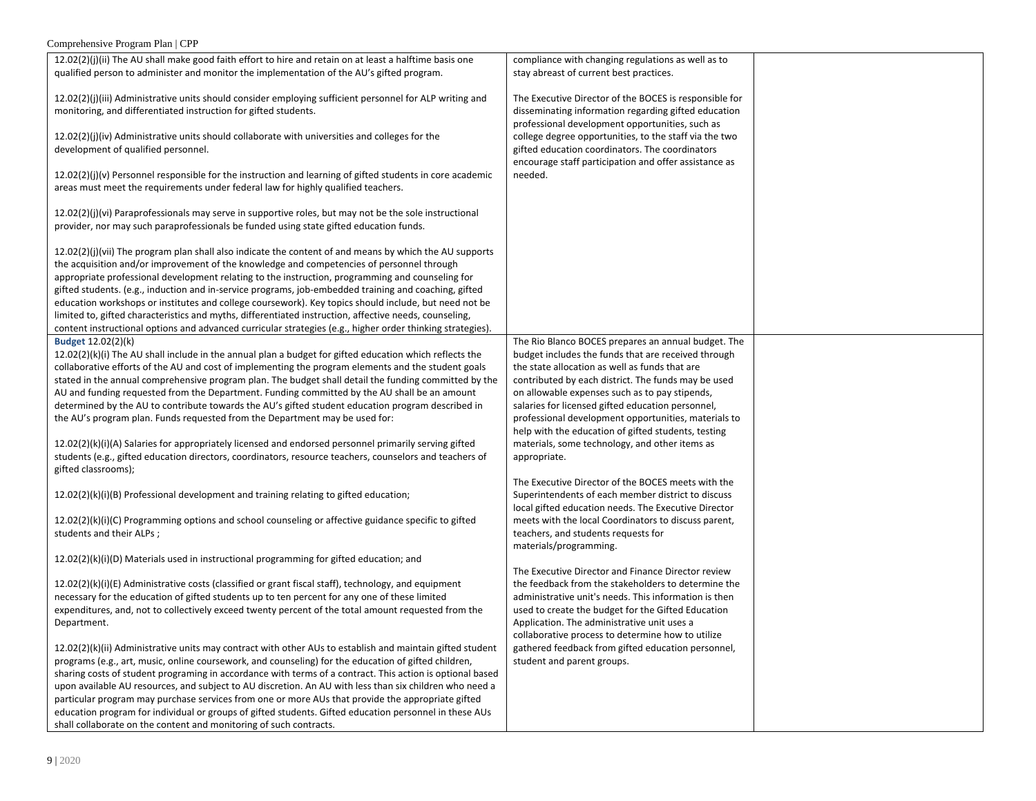| Comprehensive Program Plan   CPP                                                                                                                                                                                                                                                                                         |                                                                                                                                                                                                                       |  |  |  |
|--------------------------------------------------------------------------------------------------------------------------------------------------------------------------------------------------------------------------------------------------------------------------------------------------------------------------|-----------------------------------------------------------------------------------------------------------------------------------------------------------------------------------------------------------------------|--|--|--|
| $12.02(2)(j)(ii)$ The AU shall make good faith effort to hire and retain on at least a halftime basis one                                                                                                                                                                                                                | compliance with changing regulations as well as to                                                                                                                                                                    |  |  |  |
| qualified person to administer and monitor the implementation of the AU's gifted program.                                                                                                                                                                                                                                | stay abreast of current best practices.                                                                                                                                                                               |  |  |  |
| $12.02(2)(j)(iii)$ Administrative units should consider employing sufficient personnel for ALP writing and<br>monitoring, and differentiated instruction for gifted students.                                                                                                                                            | The Executive Director of the BOCES is responsible for<br>disseminating information regarding gifted education                                                                                                        |  |  |  |
| $12.02(2)(j)(iv)$ Administrative units should collaborate with universities and colleges for the<br>development of qualified personnel.                                                                                                                                                                                  | professional development opportunities, such as<br>college degree opportunities, to the staff via the two<br>gifted education coordinators. The coordinators<br>encourage staff participation and offer assistance as |  |  |  |
| $12.02(2)(j)(v)$ Personnel responsible for the instruction and learning of gifted students in core academic<br>areas must meet the requirements under federal law for highly qualified teachers.                                                                                                                         | needed.                                                                                                                                                                                                               |  |  |  |
| 12.02(2)(j)(vi) Paraprofessionals may serve in supportive roles, but may not be the sole instructional<br>provider, nor may such paraprofessionals be funded using state gifted education funds.                                                                                                                         |                                                                                                                                                                                                                       |  |  |  |
| $12.02(2)(j)(vii)$ The program plan shall also indicate the content of and means by which the AU supports<br>the acquisition and/or improvement of the knowledge and competencies of personnel through<br>appropriate professional development relating to the instruction, programming and counseling for               |                                                                                                                                                                                                                       |  |  |  |
| gifted students. (e.g., induction and in-service programs, job-embedded training and coaching, gifted<br>education workshops or institutes and college coursework). Key topics should include, but need not be<br>limited to, gifted characteristics and myths, differentiated instruction, affective needs, counseling, |                                                                                                                                                                                                                       |  |  |  |
| content instructional options and advanced curricular strategies (e.g., higher order thinking strategies).                                                                                                                                                                                                               |                                                                                                                                                                                                                       |  |  |  |
| Budget 12.02(2)(k)                                                                                                                                                                                                                                                                                                       | The Rio Blanco BOCES prepares an annual budget. The                                                                                                                                                                   |  |  |  |
| $12.02(2)(k)(i)$ The AU shall include in the annual plan a budget for gifted education which reflects the                                                                                                                                                                                                                | budget includes the funds that are received through                                                                                                                                                                   |  |  |  |
| collaborative efforts of the AU and cost of implementing the program elements and the student goals                                                                                                                                                                                                                      | the state allocation as well as funds that are                                                                                                                                                                        |  |  |  |
| stated in the annual comprehensive program plan. The budget shall detail the funding committed by the                                                                                                                                                                                                                    | contributed by each district. The funds may be used                                                                                                                                                                   |  |  |  |
| AU and funding requested from the Department. Funding committed by the AU shall be an amount<br>determined by the AU to contribute towards the AU's gifted student education program described in                                                                                                                        | on allowable expenses such as to pay stipends,<br>salaries for licensed gifted education personnel,                                                                                                                   |  |  |  |
| the AU's program plan. Funds requested from the Department may be used for:                                                                                                                                                                                                                                              | professional development opportunities, materials to                                                                                                                                                                  |  |  |  |
|                                                                                                                                                                                                                                                                                                                          | help with the education of gifted students, testing                                                                                                                                                                   |  |  |  |
| 12.02(2)(k)(i)(A) Salaries for appropriately licensed and endorsed personnel primarily serving gifted                                                                                                                                                                                                                    | materials, some technology, and other items as                                                                                                                                                                        |  |  |  |
| students (e.g., gifted education directors, coordinators, resource teachers, counselors and teachers of                                                                                                                                                                                                                  | appropriate.                                                                                                                                                                                                          |  |  |  |
| gifted classrooms);                                                                                                                                                                                                                                                                                                      |                                                                                                                                                                                                                       |  |  |  |
|                                                                                                                                                                                                                                                                                                                          | The Executive Director of the BOCES meets with the                                                                                                                                                                    |  |  |  |
| $12.02(2)(k)(i)(B)$ Professional development and training relating to gifted education;                                                                                                                                                                                                                                  | Superintendents of each member district to discuss                                                                                                                                                                    |  |  |  |
| 12.02(2)(k)(i)(C) Programming options and school counseling or affective guidance specific to gifted                                                                                                                                                                                                                     | local gifted education needs. The Executive Director<br>meets with the local Coordinators to discuss parent,                                                                                                          |  |  |  |
| students and their ALPs;                                                                                                                                                                                                                                                                                                 | teachers, and students requests for                                                                                                                                                                                   |  |  |  |
|                                                                                                                                                                                                                                                                                                                          | materials/programming.                                                                                                                                                                                                |  |  |  |
| 12.02(2)(k)(i)(D) Materials used in instructional programming for gifted education; and                                                                                                                                                                                                                                  |                                                                                                                                                                                                                       |  |  |  |
|                                                                                                                                                                                                                                                                                                                          | The Executive Director and Finance Director review                                                                                                                                                                    |  |  |  |
| 12.02(2)(k)(i)(E) Administrative costs (classified or grant fiscal staff), technology, and equipment                                                                                                                                                                                                                     | the feedback from the stakeholders to determine the                                                                                                                                                                   |  |  |  |
| necessary for the education of gifted students up to ten percent for any one of these limited<br>expenditures, and, not to collectively exceed twenty percent of the total amount requested from the                                                                                                                     | administrative unit's needs. This information is then<br>used to create the budget for the Gifted Education                                                                                                           |  |  |  |
| Department.                                                                                                                                                                                                                                                                                                              | Application. The administrative unit uses a                                                                                                                                                                           |  |  |  |
|                                                                                                                                                                                                                                                                                                                          | collaborative process to determine how to utilize                                                                                                                                                                     |  |  |  |
| 12.02(2)(k)(ii) Administrative units may contract with other AUs to establish and maintain gifted student                                                                                                                                                                                                                | gathered feedback from gifted education personnel,                                                                                                                                                                    |  |  |  |
| programs (e.g., art, music, online coursework, and counseling) for the education of gifted children,                                                                                                                                                                                                                     | student and parent groups.                                                                                                                                                                                            |  |  |  |
| sharing costs of student programing in accordance with terms of a contract. This action is optional based                                                                                                                                                                                                                |                                                                                                                                                                                                                       |  |  |  |
| upon available AU resources, and subject to AU discretion. An AU with less than six children who need a                                                                                                                                                                                                                  |                                                                                                                                                                                                                       |  |  |  |
| particular program may purchase services from one or more AUs that provide the appropriate gifted                                                                                                                                                                                                                        |                                                                                                                                                                                                                       |  |  |  |
| education program for individual or groups of gifted students. Gifted education personnel in these AUs<br>shall collaborate on the content and monitoring of such contracts.                                                                                                                                             |                                                                                                                                                                                                                       |  |  |  |
|                                                                                                                                                                                                                                                                                                                          |                                                                                                                                                                                                                       |  |  |  |